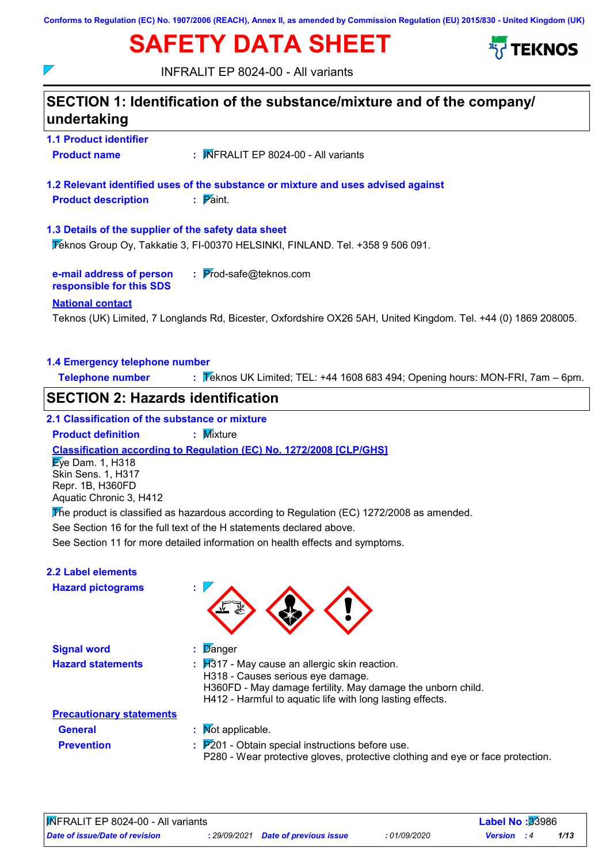**Conforms to Regulation (EC) No. 1907/2006 (REACH), Annex II, as amended by Commission Regulation (EU) 2015/830 - United Kingdom (UK)**

# **SAFETY DATA SHEET**



INFRALIT EP 8024-00 - All variants



- **General :** Not applicable.
- **Prevention :**

 $\overline{\phantom{a}}$ 

**Precautionary statements**

- 
- : P201 Obtain special instructions before use.

P280 - Wear protective gloves, protective clothing and eye or face protection.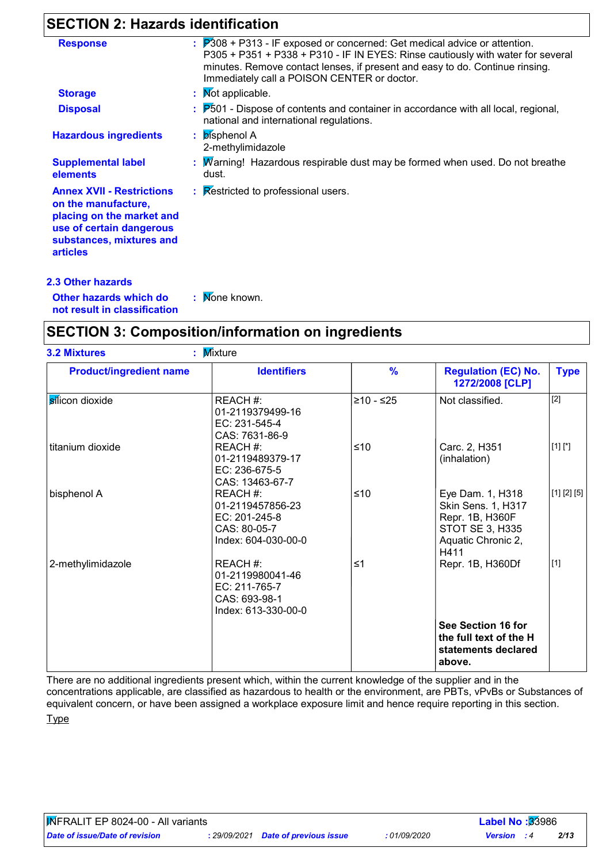# **SECTION 2: Hazards identification**

| <b>Response</b>                                                                                                                                                 | $\therefore$ $\mathbb{P}308$ + P313 - IF exposed or concerned: Get medical advice or attention.                                                                                                                |
|-----------------------------------------------------------------------------------------------------------------------------------------------------------------|----------------------------------------------------------------------------------------------------------------------------------------------------------------------------------------------------------------|
|                                                                                                                                                                 | P305 + P351 + P338 + P310 - IF IN EYES: Rinse cautiously with water for several<br>minutes. Remove contact lenses, if present and easy to do. Continue rinsing.<br>Immediately call a POISON CENTER or doctor. |
| <b>Storage</b>                                                                                                                                                  | : Mot applicable.                                                                                                                                                                                              |
| <b>Disposal</b>                                                                                                                                                 | $\therefore$ $P501$ - Dispose of contents and container in accordance with all local, regional,<br>national and international regulations.                                                                     |
| <b>Hazardous ingredients</b>                                                                                                                                    | : bisphenol A<br>2-methylimidazole                                                                                                                                                                             |
| <b>Supplemental label</b><br>elements                                                                                                                           | : Marning! Hazardous respirable dust may be formed when used. Do not breathe<br>dust.                                                                                                                          |
| <b>Annex XVII - Restrictions</b><br>on the manufacture,<br>placing on the market and<br>use of certain dangerous<br>substances, mixtures and<br><b>articles</b> | : Restricted to professional users.                                                                                                                                                                            |

**Other hazards which do : not result in classification** : Mone known.

# **SECTION 3: Composition/information on ingredients**

| <b>Product/ingredient name</b> | <b>Identifiers</b>                                                                    | $\frac{9}{6}$ | <b>Regulation (EC) No.</b><br>1272/2008 [CLP]                                                              | <b>Type</b> |
|--------------------------------|---------------------------------------------------------------------------------------|---------------|------------------------------------------------------------------------------------------------------------|-------------|
| silicon dioxide                | REACH #:<br>01-2119379499-16<br>EC: 231-545-4<br>CAS: 7631-86-9                       | ≥10 - ≤25     | Not classified.                                                                                            | $[2]$       |
| titanium dioxide               | REACH #:<br>01-2119489379-17<br>EC: 236-675-5<br>CAS: 13463-67-7                      | ≤10           | Carc. 2, H351<br>(inhalation)                                                                              | $[1] [^*]$  |
| bisphenol A                    | REACH #:<br>01-2119457856-23<br>EC: 201-245-8<br>CAS: 80-05-7<br>Index: 604-030-00-0  | ≤10           | Eye Dam. 1, H318<br>Skin Sens. 1, H317<br>Repr. 1B, H360F<br>STOT SE 3, H335<br>Aquatic Chronic 2,<br>H411 | [1] [2] [5] |
| 2-methylimidazole              | REACH #:<br>01-2119980041-46<br>EC: 211-765-7<br>CAS: 693-98-1<br>Index: 613-330-00-0 | $\leq 1$      | Repr. 1B, H360Df                                                                                           | $[1]$       |
|                                |                                                                                       |               | See Section 16 for<br>the full text of the H<br>statements declared<br>above.                              |             |

There are no additional ingredients present which, within the current knowledge of the supplier and in the concentrations applicable, are classified as hazardous to health or the environment, are PBTs, vPvBs or Substances of equivalent concern, or have been assigned a workplace exposure limit and hence require reporting in this section.

**Type**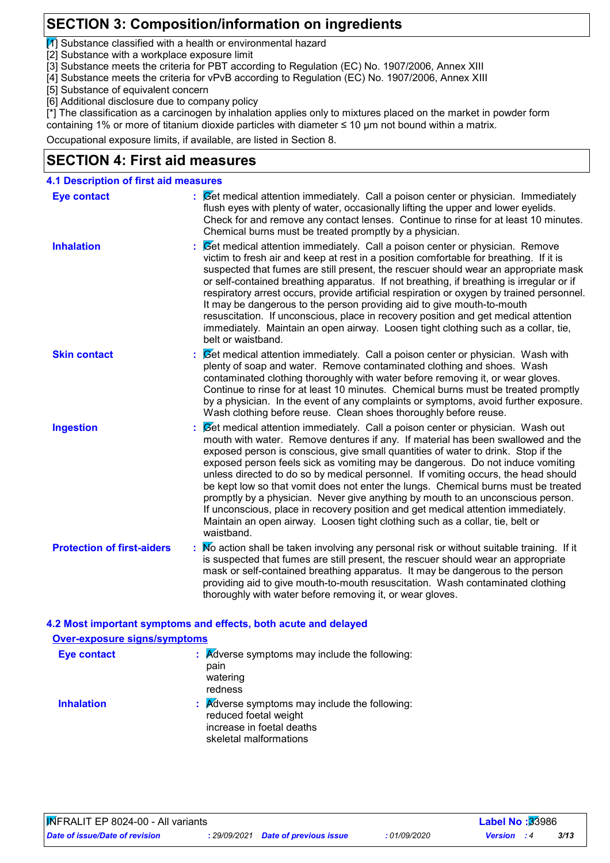# **SECTION 3: Composition/information on ingredients**

 $\mathcal{I}$  Substance classified with a health or environmental hazard

- [2] Substance with a workplace exposure limit
- [3] Substance meets the criteria for PBT according to Regulation (EC) No. 1907/2006, Annex XIII
- [4] Substance meets the criteria for vPvB according to Regulation (EC) No. 1907/2006, Annex XIII
- [5] Substance of equivalent concern
- [6] Additional disclosure due to company policy

[\*] The classification as a carcinogen by inhalation applies only to mixtures placed on the market in powder form

containing 1% or more of titanium dioxide particles with diameter ≤ 10 μm not bound within a matrix.

Occupational exposure limits, if available, are listed in Section 8.

### **SECTION 4: First aid measures**

| <b>4.1 Description of first aid measures</b> |                                                                                                                                                                                                                                                                                                                                                                                                                                                                                                                                                                                                                                                                                                                                                                                              |
|----------------------------------------------|----------------------------------------------------------------------------------------------------------------------------------------------------------------------------------------------------------------------------------------------------------------------------------------------------------------------------------------------------------------------------------------------------------------------------------------------------------------------------------------------------------------------------------------------------------------------------------------------------------------------------------------------------------------------------------------------------------------------------------------------------------------------------------------------|
| <b>Eye contact</b>                           | : Cet medical attention immediately. Call a poison center or physician. Immediately<br>flush eyes with plenty of water, occasionally lifting the upper and lower eyelids.<br>Check for and remove any contact lenses. Continue to rinse for at least 10 minutes.<br>Chemical burns must be treated promptly by a physician.                                                                                                                                                                                                                                                                                                                                                                                                                                                                  |
| <b>Inhalation</b>                            | Set medical attention immediately. Call a poison center or physician. Remove<br>victim to fresh air and keep at rest in a position comfortable for breathing. If it is<br>suspected that fumes are still present, the rescuer should wear an appropriate mask<br>or self-contained breathing apparatus. If not breathing, if breathing is irregular or if<br>respiratory arrest occurs, provide artificial respiration or oxygen by trained personnel.<br>It may be dangerous to the person providing aid to give mouth-to-mouth<br>resuscitation. If unconscious, place in recovery position and get medical attention<br>immediately. Maintain an open airway. Loosen tight clothing such as a collar, tie,<br>belt or waistband.                                                          |
| <b>Skin contact</b>                          | Set medical attention immediately. Call a poison center or physician. Wash with<br>plenty of soap and water. Remove contaminated clothing and shoes. Wash<br>contaminated clothing thoroughly with water before removing it, or wear gloves.<br>Continue to rinse for at least 10 minutes. Chemical burns must be treated promptly<br>by a physician. In the event of any complaints or symptoms, avoid further exposure.<br>Wash clothing before reuse. Clean shoes thoroughly before reuse.                                                                                                                                                                                                                                                                                                |
| <b>Ingestion</b>                             | Set medical attention immediately. Call a poison center or physician. Wash out<br>mouth with water. Remove dentures if any. If material has been swallowed and the<br>exposed person is conscious, give small quantities of water to drink. Stop if the<br>exposed person feels sick as vomiting may be dangerous. Do not induce vomiting<br>unless directed to do so by medical personnel. If vomiting occurs, the head should<br>be kept low so that vomit does not enter the lungs. Chemical burns must be treated<br>promptly by a physician. Never give anything by mouth to an unconscious person.<br>If unconscious, place in recovery position and get medical attention immediately.<br>Maintain an open airway. Loosen tight clothing such as a collar, tie, belt or<br>waistband. |
| <b>Protection of first-aiders</b>            | : No action shall be taken involving any personal risk or without suitable training. If it<br>is suspected that fumes are still present, the rescuer should wear an appropriate<br>mask or self-contained breathing apparatus. It may be dangerous to the person<br>providing aid to give mouth-to-mouth resuscitation. Wash contaminated clothing<br>thoroughly with water before removing it, or wear gloves.                                                                                                                                                                                                                                                                                                                                                                              |

#### **4.2 Most important symptoms and effects, both acute and delayed**

| <b>Over-exposure signs/symptoms</b> |                                                                                                                                          |
|-------------------------------------|------------------------------------------------------------------------------------------------------------------------------------------|
| <b>Eye contact</b>                  | : Adverse symptoms may include the following:<br>pain<br>watering<br>redness                                                             |
| <b>Inhalation</b>                   | $\therefore$ Adverse symptoms may include the following:<br>reduced foetal weight<br>increase in foetal deaths<br>skeletal malformations |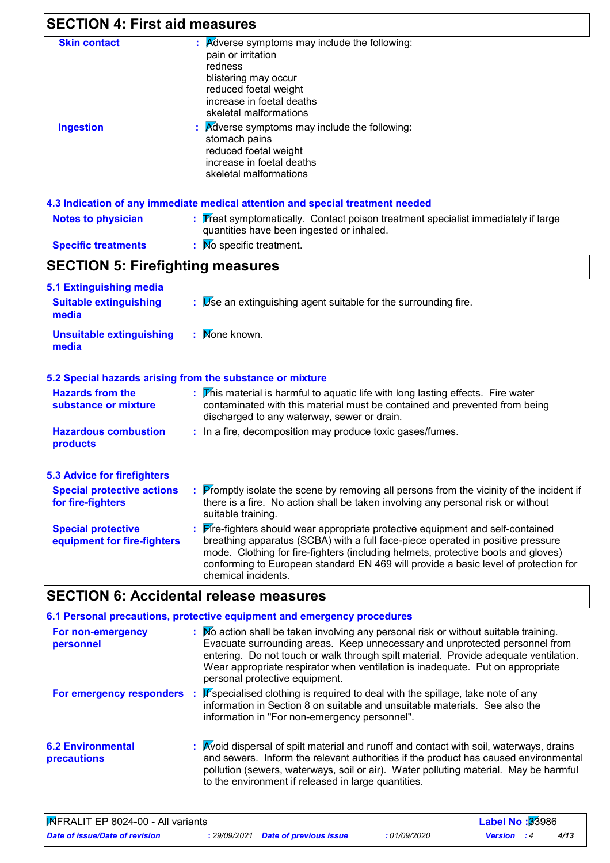| <b>SECTION 4: First aid measures</b>                     |                                                                                                                                                                                                                                                                                                                                                                  |  |  |  |
|----------------------------------------------------------|------------------------------------------------------------------------------------------------------------------------------------------------------------------------------------------------------------------------------------------------------------------------------------------------------------------------------------------------------------------|--|--|--|
| <b>Skin contact</b><br><b>Ingestion</b>                  | $\mathbf{R}$ <i>Adverse symptoms may include the following:</i><br>pain or irritation<br>redness<br>blistering may occur<br>reduced foetal weight<br>increase in foetal deaths<br>skeletal malformations<br><b>A</b> dverse symptoms may include the following:<br>stomach pains<br>reduced foetal weight<br>increase in foetal deaths<br>skeletal malformations |  |  |  |
|                                                          | 4.3 Indication of any immediate medical attention and special treatment needed                                                                                                                                                                                                                                                                                   |  |  |  |
| <b>Notes to physician</b>                                | Treat symptomatically. Contact poison treatment specialist immediately if large<br>quantities have been ingested or inhaled.                                                                                                                                                                                                                                     |  |  |  |
| <b>Specific treatments</b>                               | No specific treatment.                                                                                                                                                                                                                                                                                                                                           |  |  |  |
| <b>SECTION 5: Firefighting measures</b>                  |                                                                                                                                                                                                                                                                                                                                                                  |  |  |  |
| 5.1 Extinguishing media                                  |                                                                                                                                                                                                                                                                                                                                                                  |  |  |  |
| <b>Suitable extinguishing</b><br>media                   | $\therefore$ $\triangleright$ Se an extinguishing agent suitable for the surrounding fire.                                                                                                                                                                                                                                                                       |  |  |  |
| <b>Unsuitable extinguishing</b><br>media                 | : Mone known.                                                                                                                                                                                                                                                                                                                                                    |  |  |  |
|                                                          | 5.2 Special hazards arising from the substance or mixture                                                                                                                                                                                                                                                                                                        |  |  |  |
| <b>Hazards from the</b><br>substance or mixture          | $\overline{V}$ his material is harmful to aquatic life with long lasting effects. Fire water<br>contaminated with this material must be contained and prevented from being<br>discharged to any waterway, sewer or drain.                                                                                                                                        |  |  |  |
| <b>Hazardous combustion</b><br>products                  | : In a fire, decomposition may produce toxic gases/fumes.                                                                                                                                                                                                                                                                                                        |  |  |  |
| <b>5.3 Advice for firefighters</b>                       |                                                                                                                                                                                                                                                                                                                                                                  |  |  |  |
| <b>Special protective actions</b><br>for fire-fighters   | <b>Promptly isolate the scene by removing all persons from the vicinity of the incident if</b><br>there is a fire. No action shall be taken involving any personal risk or without<br>suitable training.                                                                                                                                                         |  |  |  |
| <b>Special protective</b><br>equipment for fire-fighters | Fire-fighters should wear appropriate protective equipment and self-contained<br>breathing apparatus (SCBA) with a full face-piece operated in positive pressure<br>mode. Clothing for fire-fighters (including helmets, protective boots and gloves)                                                                                                            |  |  |  |

#### **SECTION 6: Accidental release measures 6.1 Personal precautions, protective equipment and emergency procedures**

|                                         | <u>u. Fersonal precaduluis, protective equipment and emergency procedures</u>                                                                                                                                                                                                                                                                                                   |
|-----------------------------------------|---------------------------------------------------------------------------------------------------------------------------------------------------------------------------------------------------------------------------------------------------------------------------------------------------------------------------------------------------------------------------------|
| For non-emergency<br>personnel          | : No action shall be taken involving any personal risk or without suitable training.<br>Evacuate surrounding areas. Keep unnecessary and unprotected personnel from<br>entering. Do not touch or walk through spilt material. Provide adequate ventilation.<br>Wear appropriate respirator when ventilation is inadequate. Put on appropriate<br>personal protective equipment. |
| For emergency responders :              | If specialised clothing is required to deal with the spillage, take note of any<br>information in Section 8 on suitable and unsuitable materials. See also the<br>information in "For non-emergency personnel".                                                                                                                                                                 |
| <b>6.2 Environmental</b><br>precautions | : Avoid dispersal of spilt material and runoff and contact with soil, waterways, drains<br>and sewers. Inform the relevant authorities if the product has caused environmental<br>pollution (sewers, waterways, soil or air). Water polluting material. May be harmful<br>to the environment if released in large quantities.                                                   |

| <b>WFRALIT EP 8024-00 - All variants</b> |  |                                     |            | <b>Label No:</b> $33986$ |     |      |  |
|------------------------------------------|--|-------------------------------------|------------|--------------------------|-----|------|--|
| <b>Date of issue/Date of revision</b>    |  | : 29/09/2021 Date of previous issue | 01/09/2020 | Version                  | - 4 | 4/13 |  |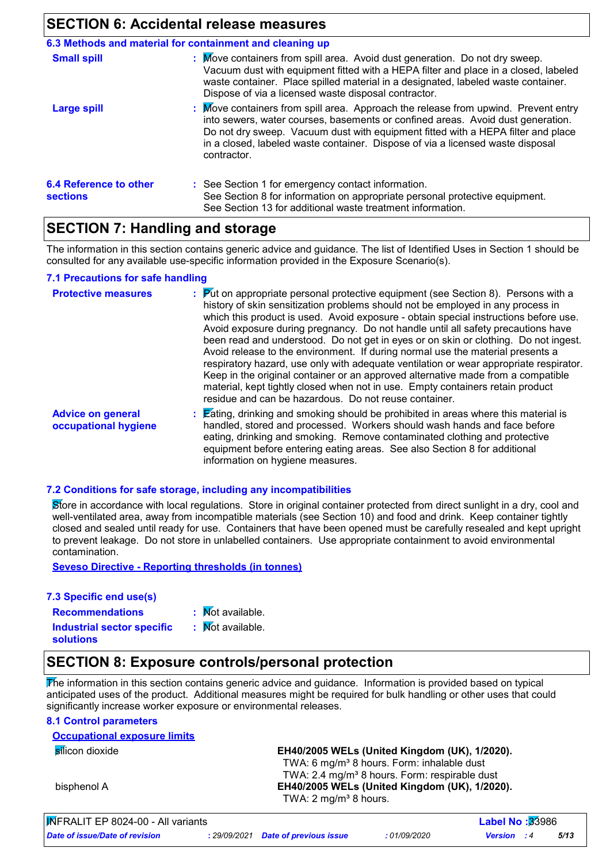### **SECTION 6: Accidental release measures**

|                                           | 6.3 Methods and material for containment and cleaning up                                                                                                                                                                                                                                                                                                   |
|-------------------------------------------|------------------------------------------------------------------------------------------------------------------------------------------------------------------------------------------------------------------------------------------------------------------------------------------------------------------------------------------------------------|
| <b>Small spill</b>                        | : Move containers from spill area. Avoid dust generation. Do not dry sweep.<br>Vacuum dust with equipment fitted with a HEPA filter and place in a closed, labeled<br>waste container. Place spilled material in a designated, labeled waste container.<br>Dispose of via a licensed waste disposal contractor.                                            |
| <b>Large spill</b>                        | : Move containers from spill area. Approach the release from upwind. Prevent entry<br>into sewers, water courses, basements or confined areas. Avoid dust generation.<br>Do not dry sweep. Vacuum dust with equipment fitted with a HEPA filter and place<br>in a closed, labeled waste container. Dispose of via a licensed waste disposal<br>contractor. |
| 6.4 Reference to other<br><b>sections</b> | : See Section 1 for emergency contact information.<br>See Section 8 for information on appropriate personal protective equipment.<br>See Section 13 for additional waste treatment information.                                                                                                                                                            |

### **SECTION 7: Handling and storage**

The information in this section contains generic advice and guidance. The list of Identified Uses in Section 1 should be consulted for any available use-specific information provided in the Exposure Scenario(s).

#### **7.1 Precautions for safe handling**

| <b>Protective measures</b>                       | $\frac{1}{2}$ Put on appropriate personal protective equipment (see Section 8). Persons with a<br>history of skin sensitization problems should not be employed in any process in<br>which this product is used. Avoid exposure - obtain special instructions before use.<br>Avoid exposure during pregnancy. Do not handle until all safety precautions have<br>been read and understood. Do not get in eyes or on skin or clothing. Do not ingest.<br>Avoid release to the environment. If during normal use the material presents a<br>respiratory hazard, use only with adequate ventilation or wear appropriate respirator.<br>Keep in the original container or an approved alternative made from a compatible<br>material, kept tightly closed when not in use. Empty containers retain product<br>residue and can be hazardous. Do not reuse container. |
|--------------------------------------------------|-----------------------------------------------------------------------------------------------------------------------------------------------------------------------------------------------------------------------------------------------------------------------------------------------------------------------------------------------------------------------------------------------------------------------------------------------------------------------------------------------------------------------------------------------------------------------------------------------------------------------------------------------------------------------------------------------------------------------------------------------------------------------------------------------------------------------------------------------------------------|
| <b>Advice on general</b><br>occupational hygiene | : Eating, drinking and smoking should be prohibited in areas where this material is<br>handled, stored and processed. Workers should wash hands and face before<br>eating, drinking and smoking. Remove contaminated clothing and protective<br>equipment before entering eating areas. See also Section 8 for additional<br>information on hygiene measures.                                                                                                                                                                                                                                                                                                                                                                                                                                                                                                   |

#### **7.2 Conditions for safe storage, including any incompatibilities**

Store in accordance with local regulations. Store in original container protected from direct sunlight in a dry, cool and well-ventilated area, away from incompatible materials (see Section 10) and food and drink. Keep container tightly closed and sealed until ready for use. Containers that have been opened must be carefully resealed and kept upright to prevent leakage. Do not store in unlabelled containers. Use appropriate containment to avoid environmental contamination.

**Seveso Directive - Reporting thresholds (in tonnes)**

#### **7.3 Specific end use(s)**

- **Recommendations :**
- : Mot available.
- **Industrial sector specific : solutions**
- : Mot available.
- 

# **SECTION 8: Exposure controls/personal protection**

The information in this section contains generic advice and guidance. Information is provided based on typical anticipated uses of the product. Additional measures might be required for bulk handling or other uses that could significantly increase worker exposure or environmental releases.

### **8.1 Control parameters**

| <b>Occupational exposure limits</b>                 |                                                           |
|-----------------------------------------------------|-----------------------------------------------------------|
| silicon dioxide                                     | EH40/2005 WELs (United Kingdom (UK), 1/2020).             |
|                                                     | TWA: 6 mg/m <sup>3</sup> 8 hours. Form: inhalable dust    |
|                                                     | TWA: 2.4 mg/m <sup>3</sup> 8 hours. Form: respirable dust |
| bisphenol A                                         | EH40/2005 WELs (United Kingdom (UK), 1/2020).             |
|                                                     | TWA: $2 \text{ mg/m}^3$ 8 hours.                          |
| $\sqrt{\mathbf{M}}$ EDALIT ED 8024.00. All variants | Lahol No 123086                                           |

| MFRALIT EP 8024-00 - All variants |                                     |              | <b>Label No: <math>33986</math></b> |      |  |
|-----------------------------------|-------------------------------------|--------------|-------------------------------------|------|--|
| Date of issue/Date of revision    | : 29/09/2021 Date of previous issue | : 01/09/2020 | <b>Version</b> : 4                  | 5/13 |  |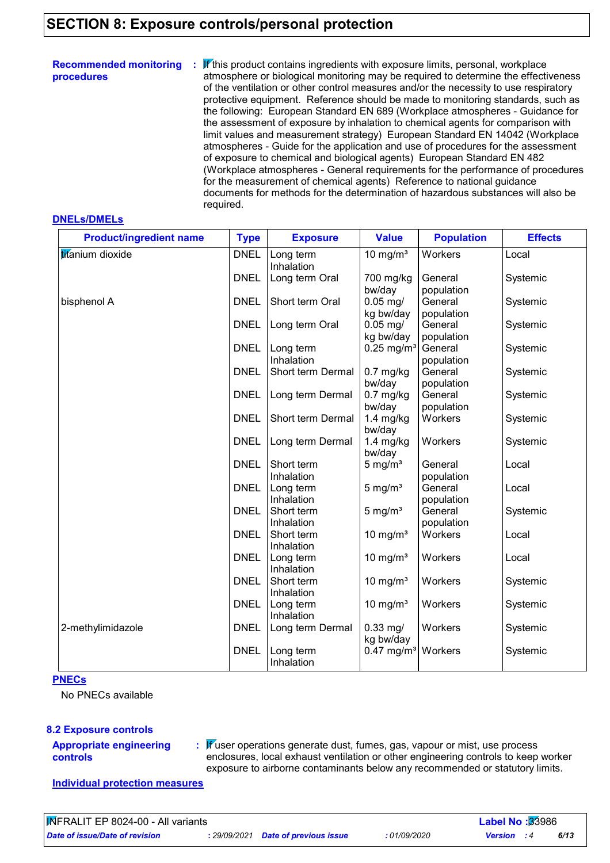### **SECTION 8: Exposure controls/personal protection**

| <b>Recommended monitoring</b><br>procedures | $\mathbf$ $\mathbf f$ this product contains ingredients with exposure limits, personal, workplace<br>÷.<br>atmosphere or biological monitoring may be required to determine the effectiveness<br>of the ventilation or other control measures and/or the necessity to use respiratory<br>protective equipment. Reference should be made to monitoring standards, such as<br>the following: European Standard EN 689 (Workplace atmospheres - Guidance for<br>the assessment of exposure by inhalation to chemical agents for comparison with<br>limit values and measurement strategy) European Standard EN 14042 (Workplace<br>atmospheres - Guide for the application and use of procedures for the assessment<br>of exposure to chemical and biological agents) European Standard EN 482<br>(Workplace atmospheres - General requirements for the performance of procedures<br>for the measurement of chemical agents) Reference to national guidance<br>documents for methods for the determination of hazardous substances will also be |
|---------------------------------------------|----------------------------------------------------------------------------------------------------------------------------------------------------------------------------------------------------------------------------------------------------------------------------------------------------------------------------------------------------------------------------------------------------------------------------------------------------------------------------------------------------------------------------------------------------------------------------------------------------------------------------------------------------------------------------------------------------------------------------------------------------------------------------------------------------------------------------------------------------------------------------------------------------------------------------------------------------------------------------------------------------------------------------------------------|
|                                             | required.                                                                                                                                                                                                                                                                                                                                                                                                                                                                                                                                                                                                                                                                                                                                                                                                                                                                                                                                                                                                                                    |

#### **DNELs/DMELs**

| <b>Product/ingredient name</b> | <b>Type</b> | <b>Exposure</b>   | <b>Value</b>             | <b>Population</b> | <b>Effects</b> |
|--------------------------------|-------------|-------------------|--------------------------|-------------------|----------------|
| titanium dioxide               | <b>DNEL</b> | Long term         | 10 mg/ $m3$              | Workers           | Local          |
|                                |             | Inhalation        |                          |                   |                |
|                                | <b>DNEL</b> | Long term Oral    | 700 mg/kg                | General           | Systemic       |
|                                |             |                   | bw/day                   | population        |                |
| bisphenol A                    | <b>DNEL</b> | Short term Oral   | $0.05$ mg/               | General           | Systemic       |
|                                |             |                   | kg bw/day                | population        |                |
|                                | <b>DNEL</b> | Long term Oral    | $0.05$ mg/               | General           | Systemic       |
|                                |             |                   | kg bw/day                | population        |                |
|                                | <b>DNEL</b> | Long term         | $0.25$ mg/m <sup>3</sup> | General           | Systemic       |
|                                |             | Inhalation        |                          | population        |                |
|                                | <b>DNEL</b> | Short term Dermal | $0.7$ mg/kg              | General           | Systemic       |
|                                |             |                   | bw/day                   | population        |                |
|                                | <b>DNEL</b> | Long term Dermal  | $0.7$ mg/kg              | General           | Systemic       |
|                                |             |                   | bw/day                   | population        |                |
|                                | <b>DNEL</b> | Short term Dermal | $1.4$ mg/kg              | Workers           | Systemic       |
|                                |             |                   | bw/day                   |                   |                |
|                                | <b>DNEL</b> | Long term Dermal  | $1.4$ mg/kg              | Workers           | Systemic       |
|                                |             |                   | bw/day                   |                   |                |
|                                | <b>DNEL</b> | Short term        | 5 mg/ $m3$               | General           | Local          |
|                                |             | Inhalation        |                          | population        |                |
|                                | <b>DNEL</b> | Long term         | $5 \text{ mg/m}^3$       | General           | Local          |
|                                |             | Inhalation        |                          | population        |                |
|                                | <b>DNEL</b> | Short term        | $5 \text{ mg/m}^3$       | General           | Systemic       |
|                                |             | Inhalation        |                          | population        |                |
|                                | <b>DNEL</b> | Short term        | 10 mg/ $m3$              | Workers           | Local          |
|                                |             | Inhalation        |                          |                   |                |
|                                | <b>DNEL</b> | Long term         | 10 mg/m $3$              | Workers           | Local          |
|                                |             | Inhalation        |                          |                   |                |
|                                | <b>DNEL</b> | Short term        | 10 mg/m $3$              | Workers           | Systemic       |
|                                |             | Inhalation        |                          |                   |                |
|                                | <b>DNEL</b> | Long term         | 10 mg/ $m3$              | Workers           | Systemic       |
|                                |             | Inhalation        |                          |                   |                |
| 2-methylimidazole              | <b>DNEL</b> | Long term Dermal  | $0.33$ mg/               | Workers           | Systemic       |
|                                |             |                   | kg bw/day                |                   |                |
|                                | <b>DNEL</b> | Long term         | $0.47$ mg/m <sup>3</sup> | Workers           | Systemic       |
|                                |             | Inhalation        |                          |                   |                |

#### **PNECs**

No PNECs available

#### **8.2 Exposure controls**

#### **Appropriate engineering controls**

**:** If user operations generate dust, fumes, gas, vapour or mist, use process enclosures, local exhaust ventilation or other engineering controls to keep worker exposure to airborne contaminants below any recommended or statutory limits.

**Individual protection measures**

*Date of issue/Date of revision* **:** *29/09/2021 Date of previous issue : 01/09/2020 Version : 4 6/13*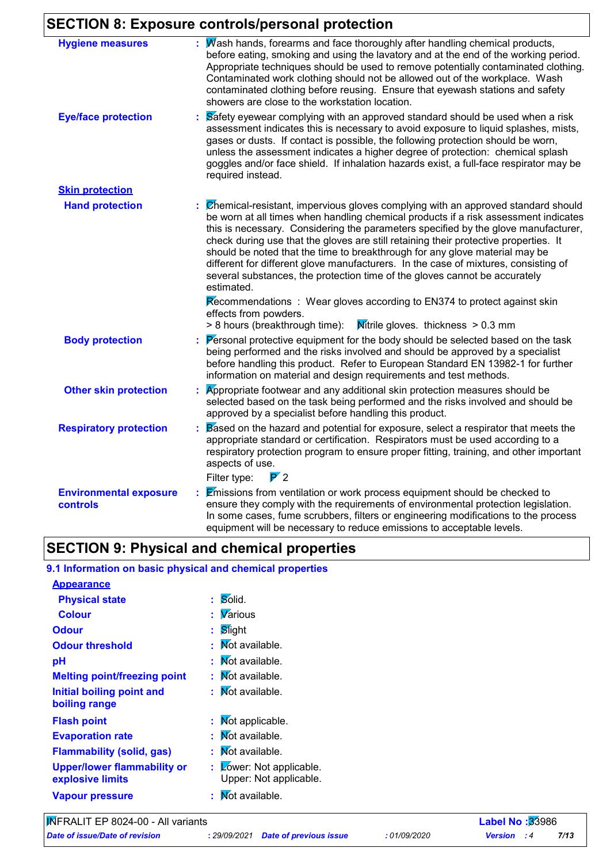# **SECTION 8: Exposure controls/personal protection**

| <b>Hygiene measures</b>                          | $\therefore$ Wash hands, forearms and face thoroughly after handling chemical products,<br>before eating, smoking and using the lavatory and at the end of the working period.<br>Appropriate techniques should be used to remove potentially contaminated clothing.<br>Contaminated work clothing should not be allowed out of the workplace. Wash<br>contaminated clothing before reusing. Ensure that eyewash stations and safety<br>showers are close to the workstation location.                                                                                                                                  |
|--------------------------------------------------|-------------------------------------------------------------------------------------------------------------------------------------------------------------------------------------------------------------------------------------------------------------------------------------------------------------------------------------------------------------------------------------------------------------------------------------------------------------------------------------------------------------------------------------------------------------------------------------------------------------------------|
| <b>Eye/face protection</b>                       | Safety eyewear complying with an approved standard should be used when a risk<br>assessment indicates this is necessary to avoid exposure to liquid splashes, mists,<br>gases or dusts. If contact is possible, the following protection should be worn,<br>unless the assessment indicates a higher degree of protection: chemical splash<br>goggles and/or face shield. If inhalation hazards exist, a full-face respirator may be<br>required instead.                                                                                                                                                               |
| <b>Skin protection</b>                           |                                                                                                                                                                                                                                                                                                                                                                                                                                                                                                                                                                                                                         |
| <b>Hand protection</b>                           | Chemical-resistant, impervious gloves complying with an approved standard should<br>be worn at all times when handling chemical products if a risk assessment indicates<br>this is necessary. Considering the parameters specified by the glove manufacturer,<br>check during use that the gloves are still retaining their protective properties. It<br>should be noted that the time to breakthrough for any glove material may be<br>different for different glove manufacturers. In the case of mixtures, consisting of<br>several substances, the protection time of the gloves cannot be accurately<br>estimated. |
|                                                  | Recommendations : Wear gloves according to EN374 to protect against skin<br>effects from powders.<br><b>M</b> itrile gloves. thickness $> 0.3$ mm<br>> 8 hours (breakthrough time):                                                                                                                                                                                                                                                                                                                                                                                                                                     |
| <b>Body protection</b>                           | Personal protective equipment for the body should be selected based on the task<br>being performed and the risks involved and should be approved by a specialist<br>before handling this product. Refer to European Standard EN 13982-1 for further<br>information on material and design requirements and test methods.                                                                                                                                                                                                                                                                                                |
| <b>Other skin protection</b>                     | Appropriate footwear and any additional skin protection measures should be<br>selected based on the task being performed and the risks involved and should be<br>approved by a specialist before handling this product.                                                                                                                                                                                                                                                                                                                                                                                                 |
| <b>Respiratory protection</b>                    | Based on the hazard and potential for exposure, select a respirator that meets the<br>appropriate standard or certification. Respirators must be used according to a<br>respiratory protection program to ensure proper fitting, training, and other important<br>aspects of use.                                                                                                                                                                                                                                                                                                                                       |
|                                                  | $\overline{P}$ 2<br>Filter type:                                                                                                                                                                                                                                                                                                                                                                                                                                                                                                                                                                                        |
| <b>Environmental exposure</b><br><b>controls</b> | <b>Emissions from ventilation or work process equipment should be checked to</b><br>ensure they comply with the requirements of environmental protection legislation.<br>In some cases, fume scrubbers, filters or engineering modifications to the process<br>equipment will be necessary to reduce emissions to acceptable levels.                                                                                                                                                                                                                                                                                    |

# **SECTION 9: Physical and chemical properties**

### **9.1 Information on basic physical and chemical properties**

| <b>Appearance</b>                                      |                                                        |
|--------------------------------------------------------|--------------------------------------------------------|
| <b>Physical state</b>                                  | Solid.<br>t.                                           |
| <b>Colour</b>                                          | <b>V</b> arious<br>t.                                  |
| <b>Odour</b>                                           | Slight<br>t.                                           |
| <b>Odour threshold</b>                                 | Not available.                                         |
| рH                                                     | Not available.                                         |
| <b>Melting point/freezing point</b>                    | Not available.                                         |
| Initial boiling point and<br>boiling range             | Not available.<br>t.                                   |
| <b>Flash point</b>                                     | Mot applicable.<br>t.                                  |
| <b>Evaporation rate</b>                                | Not available.<br>t.                                   |
| <b>Flammability (solid, gas)</b>                       | Not available.                                         |
| <b>Upper/lower flammability or</b><br>explosive limits | Lower: Not applicable.<br>t.<br>Upper: Not applicable. |
| <b>Vapour pressure</b>                                 | <b>Not available.</b>                                  |

*Date of issue/Date of revision* **:** *29/09/2021 Date of previous issue : 01/09/2020 Version : 4 7/13*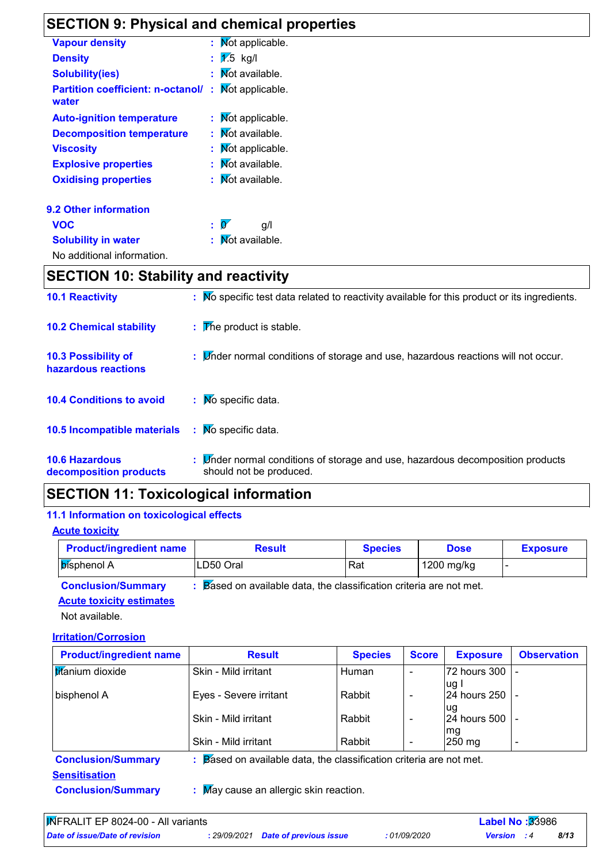# **SECTION 9: Physical and chemical properties**

| <b>Vapour density</b>                             |    | : Mot applicable.                  |
|---------------------------------------------------|----|------------------------------------|
| <b>Density</b>                                    |    | $\mathbf{1}$ 1.5 kg/l              |
| <b>Solubility(ies)</b>                            |    | <b>Not available.</b>              |
| <b>Partition coefficient: n-octanol/</b><br>water | t. | Mot applicable.                    |
| <b>Auto-ignition temperature</b>                  |    | : Mot applicable.                  |
| <b>Decomposition temperature</b>                  | Đ. | Not available.                     |
| <b>Viscosity</b>                                  |    | : Mot applicable.                  |
| <b>Explosive properties</b>                       |    | Not available.                     |
| <b>Oxidising properties</b>                       |    | : Mot available.                   |
| 9.2 Other information                             |    |                                    |
| <b>VOC</b>                                        |    | $\mathbf{p} \in \mathbb{R}$<br>g/l |
| <b>Solubility in water</b>                        |    | : Mot available.                   |
| No additional information.                        |    |                                    |

# **SECTION 10: Stability and reactivity**

| <b>10.1 Reactivity</b>                          | : No specific test data related to reactivity available for this product or its ingredients.              |
|-------------------------------------------------|-----------------------------------------------------------------------------------------------------------|
| <b>10.2 Chemical stability</b>                  | $\mathbf{F}$ The product is stable.                                                                       |
| 10.3 Possibility of<br>hazardous reactions      | : Linder normal conditions of storage and use, hazardous reactions will not occur.                        |
| <b>10.4 Conditions to avoid</b>                 | $\therefore$ Mo specific data.                                                                            |
| 10.5 Incompatible materials                     | $\therefore$ No specific data.                                                                            |
| <b>10.6 Hazardous</b><br>decomposition products | : Under normal conditions of storage and use, hazardous decomposition products<br>should not be produced. |

# **SECTION 11: Toxicological information**

#### **11.1 Information on toxicological effects**

**Acute toxicity**

| <b>Product/ingredient name</b>                                                                         | <b>Result</b> | <b>Species</b> | <b>Dose</b> | <b>Exposure</b> |
|--------------------------------------------------------------------------------------------------------|---------------|----------------|-------------|-----------------|
| <b>Disphenol A</b>                                                                                     | LD50 Oral     | Rat            | 1200 mg/kg  |                 |
| <b>B</b> ased on available data, the classification criteria are not met.<br><b>Conclusion/Summary</b> |               |                |             |                 |

#### **Conclusion/Summary : Acute toxicity estimates**

Not available.

**Irritation/Corrosion**

| <b>Product/ingredient name</b> | <b>Result</b>                                                                  | <b>Species</b> | <b>Score</b>             | <b>Exposure</b>          | <b>Observation</b> |
|--------------------------------|--------------------------------------------------------------------------------|----------------|--------------------------|--------------------------|--------------------|
| titanium dioxide               | Skin - Mild irritant                                                           | Human          | $\overline{\phantom{0}}$ | 72 hours 300  -<br>lug l |                    |
| bisphenol A                    | Eyes - Severe irritant                                                         | Rabbit         |                          | 24 hours 250 -<br>lug    |                    |
|                                | Skin - Mild irritant                                                           | Rabbit         | $\overline{\phantom{0}}$ | 24 hours 500   -<br>mg   |                    |
|                                | Skin - Mild irritant                                                           | Rabbit         |                          | $250 \text{ mg}$         | $\,$ $\,$          |
| <b>Conclusion/Summary</b>      | $\therefore$ Based on available data, the classification criteria are not met. |                |                          |                          |                    |
| <b>Sensitisation</b>           |                                                                                |                |                          |                          |                    |
| <b>Conclusion/Summary</b>      | : May cause an allergic skin reaction.                                         |                |                          |                          |                    |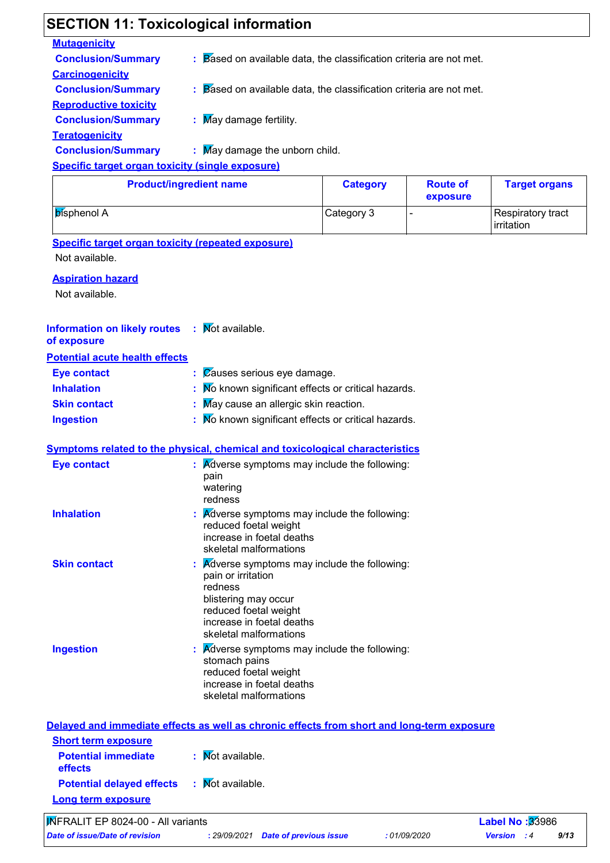| <b>Mutagenicity</b>                                                                        |                                                                                                                                                            |                 |                             |                                 |
|--------------------------------------------------------------------------------------------|------------------------------------------------------------------------------------------------------------------------------------------------------------|-----------------|-----------------------------|---------------------------------|
| <b>Conclusion/Summary</b>                                                                  | $\therefore$ Based on available data, the classification criteria are not met.                                                                             |                 |                             |                                 |
| <b>Carcinogenicity</b>                                                                     |                                                                                                                                                            |                 |                             |                                 |
| <b>Conclusion/Summary</b>                                                                  | Based on available data, the classification criteria are not met.                                                                                          |                 |                             |                                 |
| <b>Reproductive toxicity</b>                                                               |                                                                                                                                                            |                 |                             |                                 |
| <b>Conclusion/Summary</b>                                                                  | : May damage fertility.                                                                                                                                    |                 |                             |                                 |
| <b>Teratogenicity</b>                                                                      |                                                                                                                                                            |                 |                             |                                 |
| <b>Conclusion/Summary</b>                                                                  | May damage the unborn child.                                                                                                                               |                 |                             |                                 |
| <b>Specific target organ toxicity (single exposure)</b>                                    |                                                                                                                                                            |                 |                             |                                 |
|                                                                                            | <b>Product/ingredient name</b>                                                                                                                             | <b>Category</b> | <b>Route of</b><br>exposure | <b>Target organs</b>            |
| <b>bisphenol A</b>                                                                         |                                                                                                                                                            | Category 3      | ÷                           | Respiratory tract<br>irritation |
| <b>Specific target organ toxicity (repeated exposure)</b><br>Not available.                |                                                                                                                                                            |                 |                             |                                 |
|                                                                                            |                                                                                                                                                            |                 |                             |                                 |
| <b>Aspiration hazard</b>                                                                   |                                                                                                                                                            |                 |                             |                                 |
| Not available.                                                                             |                                                                                                                                                            |                 |                             |                                 |
| <b>Information on likely routes</b><br>of exposure                                         | : Mot available.                                                                                                                                           |                 |                             |                                 |
| <b>Potential acute health effects</b>                                                      |                                                                                                                                                            |                 |                             |                                 |
| <b>Eye contact</b>                                                                         | Causes serious eye damage.                                                                                                                                 |                 |                             |                                 |
| <b>Inhalation</b>                                                                          | No known significant effects or critical hazards.                                                                                                          |                 |                             |                                 |
| <b>Skin contact</b>                                                                        | May cause an allergic skin reaction.                                                                                                                       |                 |                             |                                 |
| <b>Ingestion</b>                                                                           | : Mo known significant effects or critical hazards.                                                                                                        |                 |                             |                                 |
|                                                                                            |                                                                                                                                                            |                 |                             |                                 |
| Symptoms related to the physical, chemical and toxicological characteristics               |                                                                                                                                                            |                 |                             |                                 |
| <b>Eye contact</b>                                                                         | <b>A</b> dverse symptoms may include the following:<br>pain<br>watering<br>redness                                                                         |                 |                             |                                 |
| <b>Inhalation</b>                                                                          | <b>Adverse symptoms may include the following:</b><br>reduced foetal weight<br>increase in foetal deaths<br>skeletal malformations                         |                 |                             |                                 |
| <b>Skin contact</b>                                                                        | Adverse symptoms may include the following:<br>pain or irritation<br>redness<br>blistering may occur<br>reduced foetal weight<br>increase in foetal deaths |                 |                             |                                 |
| <b>Ingestion</b>                                                                           | skeletal malformations<br><b>A</b> dverse symptoms may include the following:                                                                              |                 |                             |                                 |
|                                                                                            | stomach pains<br>reduced foetal weight<br>increase in foetal deaths<br>skeletal malformations                                                              |                 |                             |                                 |
| Delayed and immediate effects as well as chronic effects from short and long-term exposure |                                                                                                                                                            |                 |                             |                                 |
| <b>Short term exposure</b>                                                                 |                                                                                                                                                            |                 |                             |                                 |
| <b>Potential immediate</b><br>effects                                                      | : Mot available.                                                                                                                                           |                 |                             |                                 |
| <b>Potential delayed effects</b>                                                           | : Mot available.                                                                                                                                           |                 |                             |                                 |
| Long term exposure                                                                         |                                                                                                                                                            |                 |                             |                                 |
|                                                                                            |                                                                                                                                                            |                 |                             |                                 |

# **SECTION 11: Toxicological information**

٦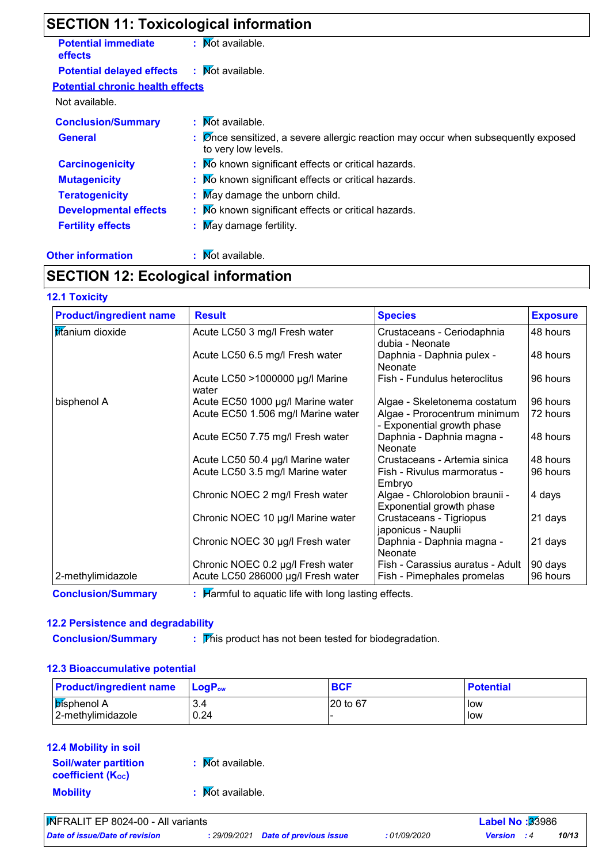# **SECTION 11: Toxicological information**

| <b>Potential immediate</b><br><b>effects</b> | : Mot available.                                                                                                            |
|----------------------------------------------|-----------------------------------------------------------------------------------------------------------------------------|
| <b>Potential delayed effects</b>             | $\mathbf{R}$ Mot available.                                                                                                 |
| <b>Potential chronic health effects</b>      |                                                                                                                             |
| Not available.                               |                                                                                                                             |
| <b>Conclusion/Summary</b>                    | : Mot available.                                                                                                            |
| <b>General</b>                               | $\therefore$ $\oslash$ or sensitized, a severe allergic reaction may occur when subsequently exposed<br>to very low levels. |
| <b>Carcinogenicity</b>                       | : Mo known significant effects or critical hazards.                                                                         |
| <b>Mutagenicity</b>                          | : Mo known significant effects or critical hazards.                                                                         |
| <b>Teratogenicity</b>                        | : May damage the unborn child.                                                                                              |
| <b>Developmental effects</b>                 | : No known significant effects or critical hazards.                                                                         |
| <b>Fertility effects</b>                     | $\therefore$ May damage fertility.                                                                                          |
|                                              |                                                                                                                             |

#### **Other information :**

# : Mot available.

### **SECTION 12: Ecological information**

#### **12.1 Toxicity**

| <b>Product/ingredient name</b> | <b>Result</b>                            | <b>Species</b>                                             | <b>Exposure</b> |
|--------------------------------|------------------------------------------|------------------------------------------------------------|-----------------|
| titanium dioxide               | Acute LC50 3 mg/l Fresh water            | Crustaceans - Ceriodaphnia<br>dubia - Neonate              | 48 hours        |
|                                | Acute LC50 6.5 mg/l Fresh water          | Daphnia - Daphnia pulex -<br><b>Neonate</b>                | 48 hours        |
|                                | Acute LC50 >1000000 µg/l Marine<br>water | Fish - Fundulus heteroclitus                               | 96 hours        |
| bisphenol A                    | Acute EC50 1000 µg/l Marine water        | Algae - Skeletonema costatum                               | 96 hours        |
|                                | Acute EC50 1.506 mg/l Marine water       | Algae - Prorocentrum minimum<br>- Exponential growth phase | 72 hours        |
|                                | Acute EC50 7.75 mg/l Fresh water         | Daphnia - Daphnia magna -<br>Neonate                       | 48 hours        |
|                                | Acute LC50 50.4 µg/l Marine water        | Crustaceans - Artemia sinica                               | 48 hours        |
|                                | Acute LC50 3.5 mg/l Marine water         | Fish - Rivulus marmoratus -<br>Embryo                      | 96 hours        |
|                                | Chronic NOEC 2 mg/l Fresh water          | Algae - Chlorolobion braunii -<br>Exponential growth phase | 4 days          |
|                                | Chronic NOEC 10 µg/l Marine water        | Crustaceans - Tigriopus<br>japonicus - Nauplii             | 21 days         |
|                                | Chronic NOEC 30 µg/l Fresh water         | Daphnia - Daphnia magna -<br>Neonate                       | 21 days         |
|                                | Chronic NOEC 0.2 µg/l Fresh water        | Fish - Carassius auratus - Adult                           | 90 days         |
| 2-methylimidazole              | Acute LC50 286000 µg/l Fresh water       | Fish - Pimephales promelas                                 | 96 hours        |

**Conclusion/Summary :** : Harmful to aquatic life with long lasting effects.

#### **12.2 Persistence and degradability**

 $\overline{\mathbf{r}}$  This product has not been tested for biodegradation.

#### **12.3 Bioaccumulative potential**

**Conclusion/Summary :**

| <b>Product/ingredient name</b> | <b>LogP</b> <sub>ow</sub> | <b>BCF</b> | <b>Potential</b> |
|--------------------------------|---------------------------|------------|------------------|
| ∣ <mark>b</mark> ísphenol A    | 3.4                       | 120 to 67  | low              |
| 2-methylimidazole              | 0.24                      |            | low              |

#### **Mobility :** Not available. **12.4 Mobility in soil Soil/water partition coefficient (KOC) :** Not available.

*Date of issue/Date of revision* **:** *29/09/2021 Date of previous issue : 01/09/2020 Version : 4 10/13* INFRALIT EP 8024-00 - All variants **Label No :**33986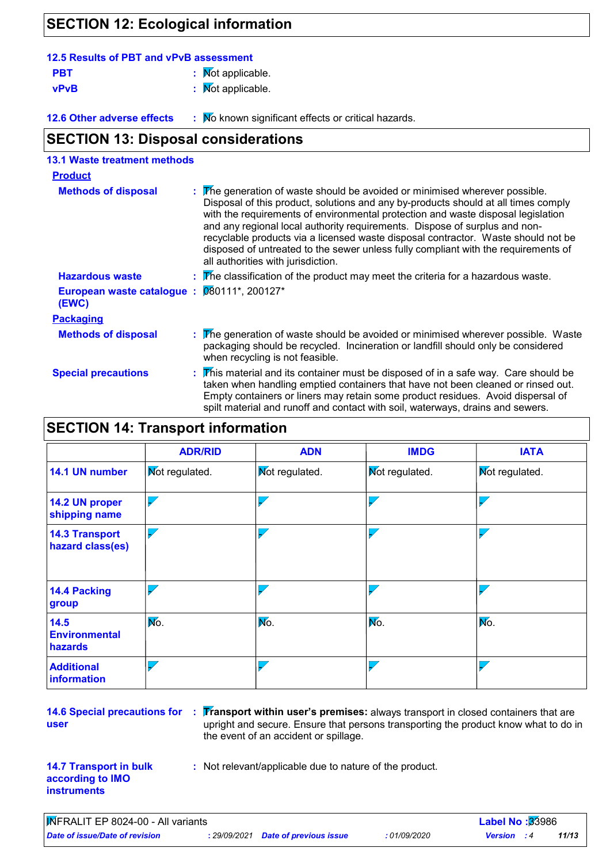# **SECTION 12: Ecological information**

| 12.5 Results of PBT and vPvB assessment |                              |
|-----------------------------------------|------------------------------|
| <b>PBT</b>                              | $\mathbf{R}$ Mot applicable. |
| vPvB                                    | : Mot applicable.            |

**12.6 Other adverse effects** : Mo known significant effects or critical hazards.

# **SECTION 13: Disposal considerations**

| <b>13.1 Waste treatment methods</b> |                                                                                                                                                                                                                                                                                                                                                                                                                                                                                                                                                      |
|-------------------------------------|------------------------------------------------------------------------------------------------------------------------------------------------------------------------------------------------------------------------------------------------------------------------------------------------------------------------------------------------------------------------------------------------------------------------------------------------------------------------------------------------------------------------------------------------------|
| <b>Product</b>                      |                                                                                                                                                                                                                                                                                                                                                                                                                                                                                                                                                      |
| <b>Methods of disposal</b>          | : The generation of waste should be avoided or minimised wherever possible.<br>Disposal of this product, solutions and any by-products should at all times comply<br>with the requirements of environmental protection and waste disposal legislation<br>and any regional local authority requirements. Dispose of surplus and non-<br>recyclable products via a licensed waste disposal contractor. Waste should not be<br>disposed of untreated to the sewer unless fully compliant with the requirements of<br>all authorities with jurisdiction. |
| <b>Hazardous waste</b>              | $\overline{r}$ The classification of the product may meet the criteria for a hazardous waste.                                                                                                                                                                                                                                                                                                                                                                                                                                                        |
| European waste catalogue :<br>(EWC) | 080111*, 200127*                                                                                                                                                                                                                                                                                                                                                                                                                                                                                                                                     |
| <b>Packaging</b>                    |                                                                                                                                                                                                                                                                                                                                                                                                                                                                                                                                                      |
| <b>Methods of disposal</b>          | : The generation of waste should be avoided or minimised wherever possible. Waste<br>packaging should be recycled. Incineration or landfill should only be considered<br>when recycling is not feasible.                                                                                                                                                                                                                                                                                                                                             |
| <b>Special precautions</b>          | : This material and its container must be disposed of in a safe way. Care should be<br>taken when handling emptied containers that have not been cleaned or rinsed out.<br>Empty containers or liners may retain some product residues. Avoid dispersal of<br>spilt material and runoff and contact with soil, waterways, drains and sewers.                                                                                                                                                                                                         |

# **SECTION 14: Transport information**

|                                           | <b>ADR/RID</b>           | <b>ADN</b>     | <b>IMDG</b>              | <b>IATA</b>           |  |
|-------------------------------------------|--------------------------|----------------|--------------------------|-----------------------|--|
| 14.1 UN number                            | <b>Not regulated.</b>    | Mot regulated. | <b>Not regulated.</b>    | <b>Not regulated.</b> |  |
| 14.2 UN proper<br>shipping name           | $\overline{\phantom{0}}$ |                | $\overline{\mathscr{S}}$ |                       |  |
| <b>14.3 Transport</b><br>hazard class(es) | $\overline{\phantom{0}}$ |                | $\overline{\phantom{a}}$ |                       |  |
| <b>14.4 Packing</b><br>group              |                          |                |                          |                       |  |
| 14.5<br><b>Environmental</b><br>hazards   | Mo.                      | Mo.            | No.<br>Mo.               |                       |  |
| <b>Additional</b><br>information          |                          |                |                          |                       |  |

**14.6 Special precautions for user**

**: Transport within user's premises:** always transport in closed containers that are upright and secure. Ensure that persons transporting the product know what to do in the event of an accident or spillage.

#### **14.7 Transport in bulk according to IMO instruments**

**:** Not relevant/applicable due to nature of the product.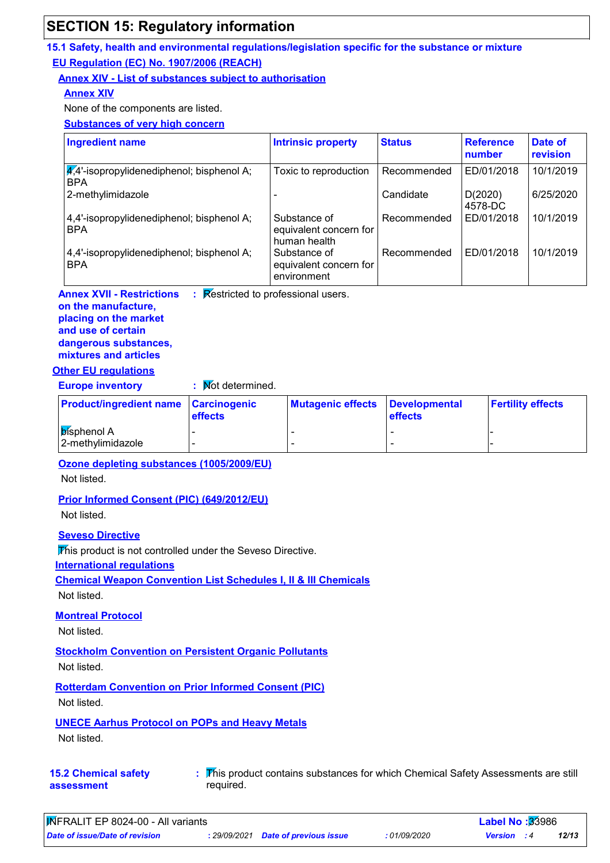# **SECTION 15: Regulatory information**

#### **15.1 Safety, health and environmental regulations/legislation specific for the substance or mixture EU Regulation (EC) No. 1907/2006 (REACH)**

### **Annex XIV - List of substances subject to authorisation**

### **Annex XIV**

None of the components are listed.

**Substances of very high concern**

| <b>Ingredient name</b>                                                | <b>Intrinsic property</b>                              | <b>Status</b> | <b>Reference</b><br>number | Date of<br>revision |
|-----------------------------------------------------------------------|--------------------------------------------------------|---------------|----------------------------|---------------------|
| $\mathcal{A}$ . 4'-isopropylidenediphenol; bisphenol A;<br><b>BPA</b> | Toxic to reproduction                                  | Recommended   | ED/01/2018                 | 10/1/2019           |
| 2-methylimidazole                                                     |                                                        | Candidate     | D(2020)<br>4578-DC         | 6/25/2020           |
| 4,4'-isopropylidenediphenol; bisphenol A;<br><b>BPA</b>               | Substance of<br>equivalent concern for<br>human health | Recommended   | ED/01/2018                 | 10/1/2019           |
| 4,4'-isopropylidenediphenol; bisphenol A;<br><b>BPA</b>               | Substance of<br>equivalent concern for<br>environment  | Recommended   | ED/01/2018                 | 10/1/2019           |

**Annex XVII - Restrictions** : Restricted to professional users.

#### **on the manufacture, placing on the market and use of certain dangerous substances, mixtures and articles**

#### **Other EU regulations**

**Europe inventory :** Not determined.

| <b>Product/ingredient name   Carcinogenic</b> | <b>effects</b> | Mutagenic effects   Developmental | <b>effects</b> | <b>Fertility effects</b> |
|-----------------------------------------------|----------------|-----------------------------------|----------------|--------------------------|
| <b>Disphenol A</b><br>2-methylimidazole       | -<br>-         |                                   |                |                          |

#### **Ozone depleting substances (1005/2009/EU)**

Not listed.

#### **Prior Informed Consent (PIC) (649/2012/EU)**

Not listed.

**Seveso Directive**

This product is not controlled under the Seveso Directive.

**International regulations**

**Chemical Weapon Convention List Schedules I, II & III Chemicals**

Not listed.

#### **Montreal Protocol**

Not listed.

#### **Stockholm Convention on Persistent Organic Pollutants**

Not listed.

**Rotterdam Convention on Prior Informed Consent (PIC)**

Not listed.

#### **UNECE Aarhus Protocol on POPs and Heavy Metals**

Not listed.

**15.2 Chemical safety assessment**

This product contains substances for which Chemical Safety Assessments are still **:** required.

| MFRALIT EP 8024-00 - All variants |  | <b>Label No<math>:33986</math></b>         |             |                    |  |       |  |
|-----------------------------------|--|--------------------------------------------|-------------|--------------------|--|-------|--|
| Date of issue/Date of revision    |  | : 29/09/2021 <b>Date of previous issue</b> | .01/09/2020 | <b>Version</b> : 4 |  | 12/13 |  |